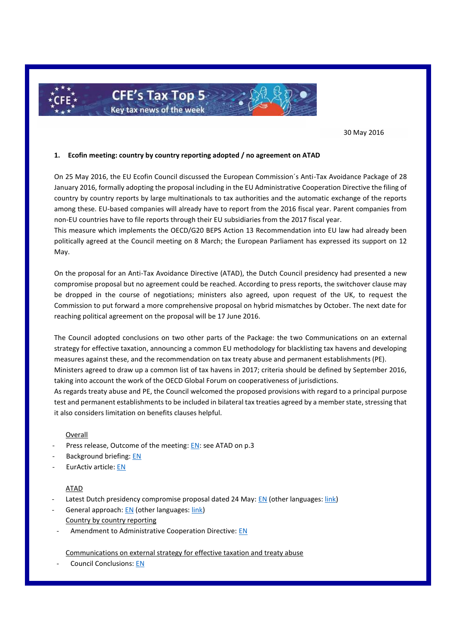

30 May 2016

### **1. Ecofin meeting: country by country reporting adopted / no agreement on ATAD**

On 25 May 2016, the EU Ecofin Council discussed the European Commission´s Anti-Tax Avoidance Package of 28 January 2016, formally adopting the proposal including in the EU Administrative Cooperation Directive the filing of country by country reports by large multinationals to tax authorities and the automatic exchange of the reports among these. EU-based companies will already have to report from the 2016 fiscal year. Parent companies from non-EU countries have to file reports through their EU subsidiaries from the 2017 fiscal year.

This measure which implements the OECD/G20 BEPS Action 13 Recommendation into EU law had already been politically agreed at the Council meeting on 8 March; the European Parliament has expressed its support on 12 May.

On the proposal for an Anti-Tax Avoidance Directive (ATAD), the Dutch Council presidency had presented a new compromise proposal but no agreement could be reached. According to press reports, the switchover clause may be dropped in the course of negotiations; ministers also agreed, upon request of the UK, to request the Commission to put forward a more comprehensive proposal on hybrid mismatches by October. The next date for reaching political agreement on the proposal will be 17 June 2016.

The Council adopted conclusions on two other parts of the Package: the two Communications on an external strategy for effective taxation, announcing a common EU methodology for blacklisting tax havens and developing measures against these, and the recommendation on tax treaty abuse and permanent establishments (PE). Ministers agreed to draw up a common list of tax havens in 2017; criteria should be defined by September 2016, taking into account the work of the OECD Global Forum on cooperativeness of jurisdictions. As regards treaty abuse and PE, the Council welcomed the proposed provisions with regard to a principal purpose

test and permanent establishments to be included in bilateral tax treaties agreed by a member state, stressing that it also considers limitation on benefits clauses helpful.

### Overall

- Press release, Outcome of the meeting: [EN:](http://www.consilium.europa.eu/en/meetings/ecofin/2016/05/st09342_en16_pdf/) see ATAD on p.3
- Background briefing: [EN](http://www.consilium.europa.eu/en/meetings/ecofin/2016/05/ECOFIN-background-EN_pdf/)
- EurActiv article: [EN](http://www.euractiv.com/section/euro-finance/news/member-states-fail-to-reach-deal-to-tackle-company-tax-avoidance/?nl_ref=13689553)

### ATAD

- Latest Dutch presidency compromise proposal dated 24 May: [EN](http://data.consilium.europa.eu/doc/document/ST-9431-2016-INIT/en/pdf) (other languages: [link\)](http://www.consilium.europa.eu/register/en/content/out/?typ=SET&i=ADV&RESULTSET=1&DOC_ID=9431%2F16&DOS_INTERINST=&DOC_TITLE=&CONTENTS=&DOC_SUBJECT=&DOC_SUBTYPE=&DOC_DATE=&document_date_from_date=&document_date_from_date_submit=&document_date_to_date=&document_date_to_date_submit=&MEET_DATE=&meeting_date_from_date=&meeting_date_from_date_submit=&meeting_date_to_date=&meeting_date_to_date_submit=&DOC_LANCD=EN&ROWSPP=25&NRROWS=500&ORDERBY=DOC_DATE+DESC)
- General approach[: EN](http://data.consilium.europa.eu/doc/document/ST-9432-2016-INIT/en/pdf) (other languages: [link\)](http://www.consilium.europa.eu/register/en/content/out/?typ=SET&i=ADV&RESULTSET=1&DOC_ID=9432%2F16&DOS_INTERINST=&DOC_TITLE=&CONTENTS=&DOC_SUBJECT=&DOC_SUBTYPE=&DOC_DATE=&document_date_from_date=&document_date_from_date_submit=&document_date_to_date=&document_date_to_date_submit=&MEET_DATE=&meeting_date_from_date=&meeting_date_from_date_submit=&meeting_date_to_date=&meeting_date_to_date_submit=&DOC_LANCD=EN&ROWSPP=25&NRROWS=500&ORDERBY=DOC_DATE+DESC) Country by country reporting
	- Amendment to Administrative Cooperation Directive: [EN](http://data.consilium.europa.eu/doc/document/ST-7148-2016-INIT/en/pdf)

Communications on external strategy for effective taxation and treaty abuse

Council Conclusions[: EN](http://www.consilium.europa.eu/press-releases-pdf/2016/5/47244641250_en_635997888000000000.pdf)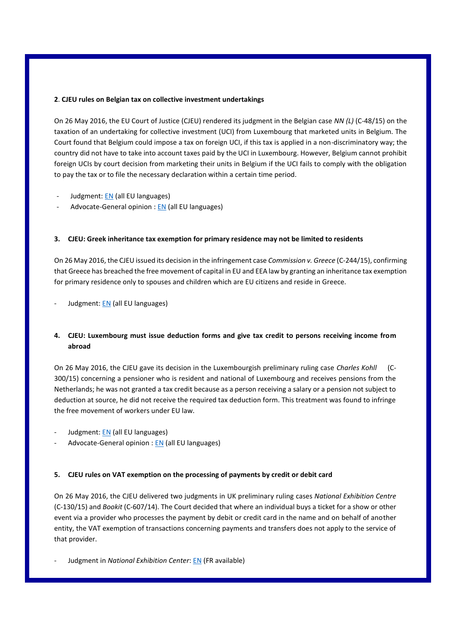## **2**. **CJEU rules on Belgian tax on collective investment undertakings**

On 26 May 2016, the EU Court of Justice (CJEU) rendered its judgment in the Belgian case *NN (L)* (C-48/15) on the taxation of an undertaking for collective investment (UCI) from Luxembourg that marketed units in Belgium. The Court found that Belgium could impose a tax on foreign UCI, if this tax is applied in a non-discriminatory way; the country did not have to take into account taxes paid by the UCI in Luxembourg. However, Belgium cannot prohibit foreign UCIs by court decision from marketing their units in Belgium if the UCI fails to comply with the obligation to pay the tax or to file the necessary declaration within a certain time period.

- Judgment: [EN](http://curia.europa.eu/juris/document/document.jsf;jsessionid=9ea7d2dc30d5f1f0d5f77c4e4788b5dded5a53302699.e34KaxiLc3qMb40Rch0SaxuTahb0?text=&docid=178822&pageIndex=0&doclang=EN&mode=lst&dir=&occ=first&part=1&cid=165069) (all EU languages)
- Advocate-General opinion : [EN](http://curia.europa.eu/juris/document/document.jsf;jsessionid=9ea7d2dc30d5f1f0d5f77c4e4788b5dded5a53302699.e34KaxiLc3qMb40Rch0SaxuTahb0?text=&docid=173692&pageIndex=0&doclang=EN&mode=lst&dir=&occ=first&part=1&cid=165069) (all EU languages)

# **3. CJEU: Greek inheritance tax exemption for primary residence may not be limited to residents**

On 26 May 2016, the CJEU issued its decision in the infringement case *Commission v. Greece* (C-244/15), confirming that Greece has breached the free movement of capital in EU and EEA law by granting an inheritance tax exemption for primary residence only to spouses and children which are EU citizens and reside in Greece.

- Judgment: [EN](http://curia.europa.eu/juris/document/document.jsf?text=&docid=178823&pageIndex=0&doclang=EN&mode=lst&dir=&occ=first&part=1&cid=172182) (all EU languages)

# **4. CJEU: Luxembourg must issue deduction forms and give tax credit to persons receiving income from abroad**

On 26 May 2016, the CJEU gave its decision in the Luxembourgish preliminary ruling case *Charles Kohll* (C-300/15) concerning a pensioner who is resident and national of Luxembourg and receives pensions from the Netherlands; he was not granted a tax credit because as a person receiving a salary or a pension not subject to deduction at source, he did not receive the required tax deduction form. This treatment was found to infringe the free movement of workers under EU law.

- Judgment: [EN](http://curia.europa.eu/juris/document/document.jsf?text=&docid=178831&pageIndex=0&doclang=EN&mode=lst&dir=&occ=first&part=1&cid=174448) (all EU languages)
- Advocate-General opinion [: EN](http://curia.europa.eu/juris/document/document.jsf?text=&docid=174361&pageIndex=0&doclang=EN&mode=lst&dir=&occ=first&part=1&cid=174448) (all EU languages)

# **5. CJEU rules on VAT exemption on the processing of payments by credit or debit card**

On 26 May 2016, the CJEU delivered two judgments in UK preliminary ruling cases *National Exhibition Centre* (C-130/15) and *Bookit* (C-607/14). The Court decided that where an individual buys a ticket for a show or other event via a provider who processes the payment by debit or credit card in the name and on behalf of another entity, the VAT exemption of transactions concerning payments and transfers does not apply to the service of that provider.

- Judgment in *National Exhibition Center*: [EN](http://curia.europa.eu/juris/document/document.jsf?text=&docid=178832&pageIndex=0&doclang=EN&mode=lst&dir=&occ=first&part=1&cid=176151) (FR available)